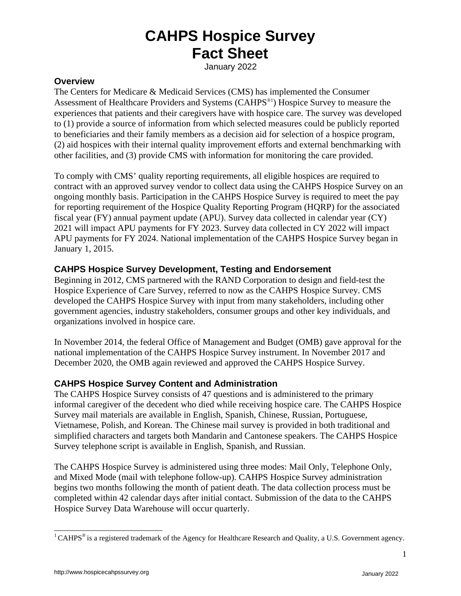January 2022

### **Overview**

The Centers for Medicare & Medicaid Services (CMS) has implemented the Consumer Assessment of Healthcare Providers and Systems (CAHPS[®1](#page-0-0) ) Hospice Survey to measure the experiences that patients and their caregivers have with hospice care. The survey was developed to (1) provide a source of information from which selected measures could be publicly reported to beneficiaries and their family members as a decision aid for selection of a hospice program, (2) aid hospices with their internal quality improvement efforts and external benchmarking with other facilities, and (3) provide CMS with information for monitoring the care provided.

To comply with CMS' quality reporting requirements, all eligible hospices are required to contract with an approved survey vendor to collect data using the CAHPS Hospice Survey on an ongoing monthly basis. Participation in the CAHPS Hospice Survey is required to meet the pay for reporting requirement of the Hospice Quality Reporting Program (HQRP) for the associated fiscal year (FY) annual payment update (APU). Survey data collected in calendar year (CY) 2021 will impact APU payments for FY 2023. Survey data collected in CY 2022 will impact APU payments for FY 2024. National implementation of the CAHPS Hospice Survey began in January 1, 2015.

## **CAHPS Hospice Survey Development, Testing and Endorsement**

Beginning in 2012, CMS partnered with the RAND Corporation to design and field-test the Hospice Experience of Care Survey, referred to now as the CAHPS Hospice Survey. CMS developed the CAHPS Hospice Survey with input from many stakeholders, including other government agencies, industry stakeholders, consumer groups and other key individuals, and organizations involved in hospice care.

In November 2014, the federal Office of Management and Budget (OMB) gave approval for the national implementation of the CAHPS Hospice Survey instrument. In November 2017 and December 2020, the OMB again reviewed and approved the CAHPS Hospice Survey.

## **CAHPS Hospice Survey Content and Administration**

The CAHPS Hospice Survey consists of 47 questions and is administered to the primary informal caregiver of the decedent who died while receiving hospice care. The CAHPS Hospice Survey mail materials are available in English, Spanish, Chinese, Russian, Portuguese, Vietnamese, Polish, and Korean. The Chinese mail survey is provided in both traditional and simplified characters and targets both Mandarin and Cantonese speakers. The CAHPS Hospice Survey telephone script is available in English, Spanish, and Russian.

The CAHPS Hospice Survey is administered using three modes: Mail Only, Telephone Only, and Mixed Mode (mail with telephone follow-up). CAHPS Hospice Survey administration begins two months following the month of patient death. The data collection process must be completed within 42 calendar days after initial contact. Submission of the data to the CAHPS Hospice Survey Data Warehouse will occur quarterly.

1

<span id="page-0-0"></span> $1$  CAHPS<sup>®</sup> is a registered trademark of the Agency for Healthcare Research and Quality, a U.S. Government agency.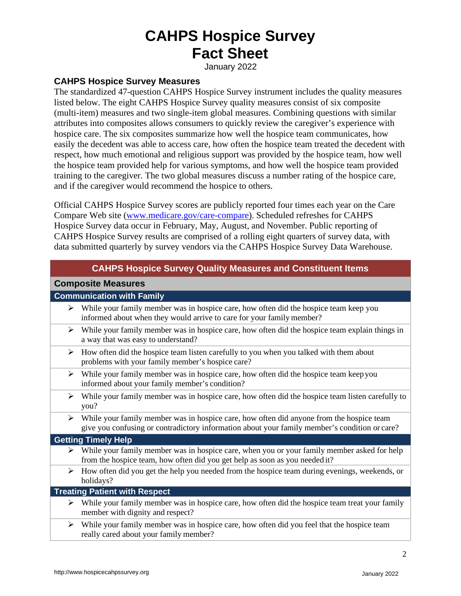January 2022

### **CAHPS Hospice Survey Measures**

The standardized 47-question CAHPS Hospice Survey instrument includes the quality measures listed below. The eight CAHPS Hospice Survey quality measures consist of six composite (multi-item) measures and two single-item global measures. Combining questions with similar attributes into composites allows consumers to quickly review the caregiver's experience with hospice care. The six composites summarize how well the hospice team communicates, how easily the decedent was able to access care, how often the hospice team treated the decedent with respect, how much emotional and religious support was provided by the hospice team, how well the hospice team provided help for various symptoms, and how well the hospice team provided training to the caregiver. The two global measures discuss a number rating of the hospice care, and if the caregiver would recommend the hospice to others.

Official CAHPS Hospice Survey scores are publicly reported four times each year on the Care Compare Web site [\(www.medicare.gov/care-compare\)](http://www.medicare.gov/care-compare). Scheduled refreshes for CAHPS Hospice Survey data occur in February, May, August, and November. Public reporting of CAHPS Hospice Survey results are comprised of a rolling eight quarters of survey data, with data submitted quarterly by survey vendors via the CAHPS Hospice Survey Data Warehouse.

|                                      | <b>CAHPS Hospice Survey Quality Measures and Constituent Items</b>                                                                                                                        |  |
|--------------------------------------|-------------------------------------------------------------------------------------------------------------------------------------------------------------------------------------------|--|
| <b>Composite Measures</b>            |                                                                                                                                                                                           |  |
| <b>Communication with Family</b>     |                                                                                                                                                                                           |  |
| ➤                                    | While your family member was in hospice care, how often did the hospice team keep you<br>informed about when they would arrive to care for your family member?                            |  |
| ➤                                    | While your family member was in hospice care, how often did the hospice team explain things in<br>a way that was easy to understand?                                                      |  |
| ➤                                    | How often did the hospice team listen carefully to you when you talked with them about<br>problems with your family member's hospice care?                                                |  |
| ➤                                    | While your family member was in hospice care, how often did the hospice team keep you<br>informed about your family member's condition?                                                   |  |
| ➤                                    | While your family member was in hospice care, how often did the hospice team listen carefully to<br>you?                                                                                  |  |
| ➤                                    | While your family member was in hospice care, how often did anyone from the hospice team<br>give you confusing or contradictory information about your family member's condition or care? |  |
| <b>Getting Timely Help</b>           |                                                                                                                                                                                           |  |
|                                      | While your family member was in hospice care, when you or your family member asked for help<br>from the hospice team, how often did you get help as soon as you needed it?                |  |
| ➤                                    | How often did you get the help you needed from the hospice team during evenings, weekends, or<br>holidays?                                                                                |  |
| <b>Treating Patient with Respect</b> |                                                                                                                                                                                           |  |
|                                      | $\triangleright$ While your family member was in hospice care, how often did the hospice team treat your family<br>member with dignity and respect?                                       |  |
| ➤                                    | While your family member was in hospice care, how often did you feel that the hospice team<br>really cared about your family member?                                                      |  |

2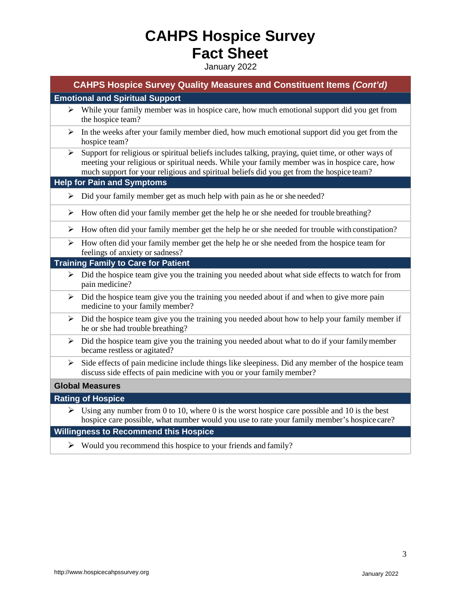January 2022

| <b>CAHPS Hospice Survey Quality Measures and Constituent Items (Cont'd)</b> |                                                                                                                                                                                                                                                                                                |  |
|-----------------------------------------------------------------------------|------------------------------------------------------------------------------------------------------------------------------------------------------------------------------------------------------------------------------------------------------------------------------------------------|--|
|                                                                             | <b>Emotional and Spiritual Support</b>                                                                                                                                                                                                                                                         |  |
| $\blacktriangleright$                                                       | While your family member was in hospice care, how much emotional support did you get from<br>the hospice team?                                                                                                                                                                                 |  |
| ➤                                                                           | In the weeks after your family member died, how much emotional support did you get from the<br>hospice team?                                                                                                                                                                                   |  |
| ➤                                                                           | Support for religious or spiritual beliefs includes talking, praying, quiet time, or other ways of<br>meeting your religious or spiritual needs. While your family member was in hospice care, how<br>much support for your religious and spiritual beliefs did you get from the hospice team? |  |
|                                                                             | <b>Help for Pain and Symptoms</b>                                                                                                                                                                                                                                                              |  |
| ➤                                                                           | Did your family member get as much help with pain as he or she needed?                                                                                                                                                                                                                         |  |
| ➤                                                                           | How often did your family member get the help he or she needed for trouble breathing?                                                                                                                                                                                                          |  |
| ➤                                                                           | How often did your family member get the help he or she needed for trouble with constipation?                                                                                                                                                                                                  |  |
| $\blacktriangleright$                                                       | How often did your family member get the help he or she needed from the hospice team for<br>feelings of anxiety or sadness?                                                                                                                                                                    |  |
|                                                                             | <b>Training Family to Care for Patient</b>                                                                                                                                                                                                                                                     |  |
| ➤                                                                           | Did the hospice team give you the training you needed about what side effects to watch for from<br>pain medicine?                                                                                                                                                                              |  |
| ➤                                                                           | Did the hospice team give you the training you needed about if and when to give more pain<br>medicine to your family member?                                                                                                                                                                   |  |
|                                                                             | $\triangleright$ Did the hospice team give you the training you needed about how to help your family member if<br>he or she had trouble breathing?                                                                                                                                             |  |
| ➤                                                                           | Did the hospice team give you the training you needed about what to do if your family member<br>became restless or agitated?                                                                                                                                                                   |  |
| ➤                                                                           | Side effects of pain medicine include things like sleepiness. Did any member of the hospice team<br>discuss side effects of pain medicine with you or your family member?                                                                                                                      |  |
| <b>Global Measures</b>                                                      |                                                                                                                                                                                                                                                                                                |  |
| <b>Rating of Hospice</b>                                                    |                                                                                                                                                                                                                                                                                                |  |
|                                                                             | Solution Using any number from 0 to 10, where 0 is the worst hospice care possible and 10 is the best<br>hospice care possible, what number would you use to rate your family member's hospice care?                                                                                           |  |
|                                                                             | <b>Willingness to Recommend this Hospice</b>                                                                                                                                                                                                                                                   |  |

 $\triangleright$  Would you recommend this hospice to your friends and family?